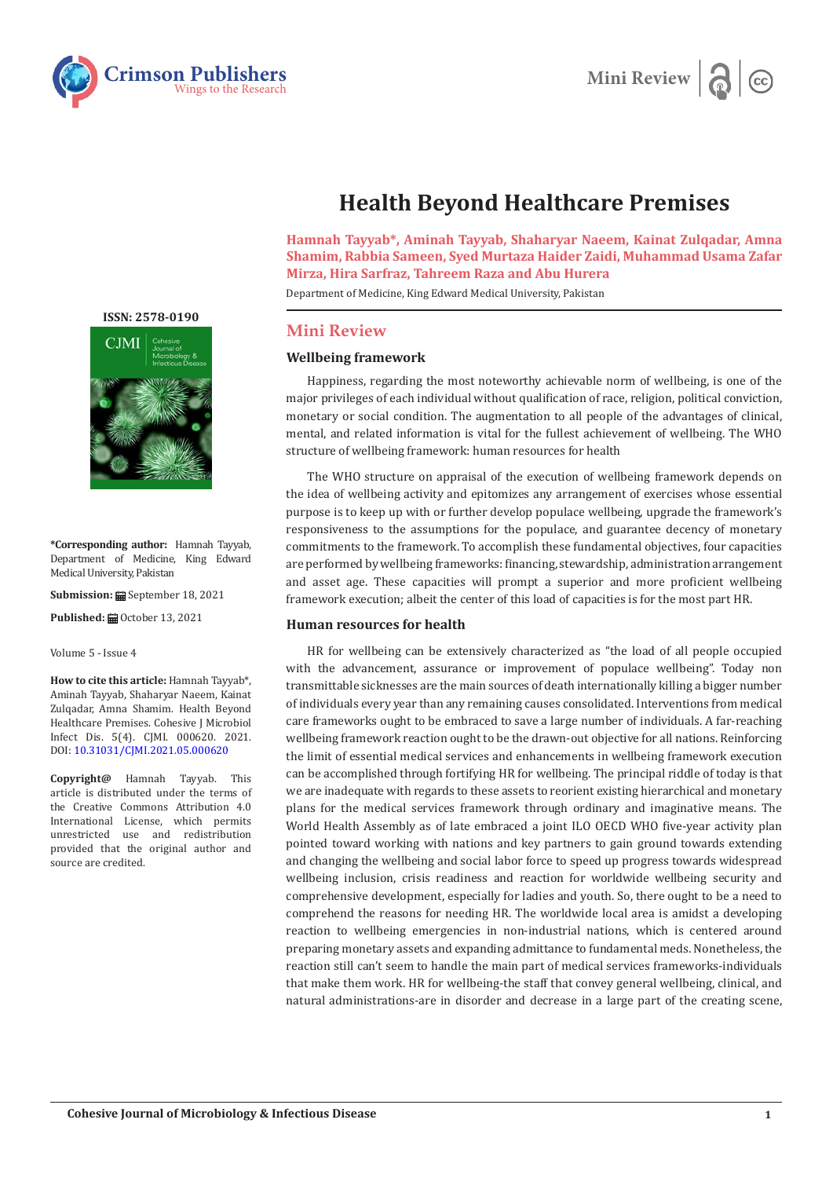



# **Health Beyond Healthcare Premises**

**Hamnah Tayyab\*, Aminah Tayyab, Shaharyar Naeem, Kainat Zulqadar, Amna Shamim, Rabbia Sameen, Syed Murtaza Haider Zaidi, Muhammad Usama Zafar Mirza, Hira Sarfraz, Tahreem Raza and Abu Hurera** 

Department of Medicine, King Edward Medical University, Pakistan

# **Mini Review**

### **Wellbeing framework**

Happiness, regarding the most noteworthy achievable norm of wellbeing, is one of the major privileges of each individual without qualification of race, religion, political conviction, monetary or social condition. The augmentation to all people of the advantages of clinical, mental, and related information is vital for the fullest achievement of wellbeing. The WHO structure of wellbeing framework: human resources for health

The WHO structure on appraisal of the execution of wellbeing framework depends on the idea of wellbeing activity and epitomizes any arrangement of exercises whose essential purpose is to keep up with or further develop populace wellbeing, upgrade the framework's responsiveness to the assumptions for the populace, and guarantee decency of monetary commitments to the framework. To accomplish these fundamental objectives, four capacities are performed by wellbeing frameworks: financing, stewardship, administration arrangement and asset age. These capacities will prompt a superior and more proficient wellbeing framework execution; albeit the center of this load of capacities is for the most part HR.

#### **Human resources for health**

HR for wellbeing can be extensively characterized as "the load of all people occupied with the advancement, assurance or improvement of populace wellbeing". Today non transmittable sicknesses are the main sources of death internationally killing a bigger number of individuals every year than any remaining causes consolidated. Interventions from medical care frameworks ought to be embraced to save a large number of individuals. A far-reaching wellbeing framework reaction ought to be the drawn-out objective for all nations. Reinforcing the limit of essential medical services and enhancements in wellbeing framework execution can be accomplished through fortifying HR for wellbeing. The principal riddle of today is that we are inadequate with regards to these assets to reorient existing hierarchical and monetary plans for the medical services framework through ordinary and imaginative means. The World Health Assembly as of late embraced a joint ILO OECD WHO five-year activity plan pointed toward working with nations and key partners to gain ground towards extending and changing the wellbeing and social labor force to speed up progress towards widespread wellbeing inclusion, crisis readiness and reaction for worldwide wellbeing security and comprehensive development, especially for ladies and youth. So, there ought to be a need to comprehend the reasons for needing HR. The worldwide local area is amidst a developing reaction to wellbeing emergencies in non-industrial nations, which is centered around preparing monetary assets and expanding admittance to fundamental meds. Nonetheless, the reaction still can't seem to handle the main part of medical services frameworks-individuals that make them work. HR for wellbeing-the staff that convey general wellbeing, clinical, and natural administrations-are in disorder and decrease in a large part of the creating scene,

## **[ISSN: 2578-0190](https://crimsonpublishers.com/cjmi/)**



**\*Corresponding author:** Hamnah Tayyab, Department of Medicine, King Edward Medical University, Pakistan

**Submission: ■ September 18, 2021** 

**Published: ■ October 13, 2021** 

Volume 5 - Issue 4

**How to cite this article:** Hamnah Tayyab\*, Aminah Tayyab, Shaharyar Naeem, Kainat Zulqadar, Amna Shamim. Health Beyond Healthcare Premises. Cohesive J Microbiol Infect Dis. 5(4). CJMI. 000620. 2021. DOI: [10.31031/CJMI.2021.05.000620](http://dx.doi.org/10.31031/CJMI.2021.05.000620)

**Copyright@** Hamnah Tayyab. This article is distributed under the terms of the Creative Commons Attribution 4.0 International License, which permits unrestricted use and redistribution provided that the original author and source are credited.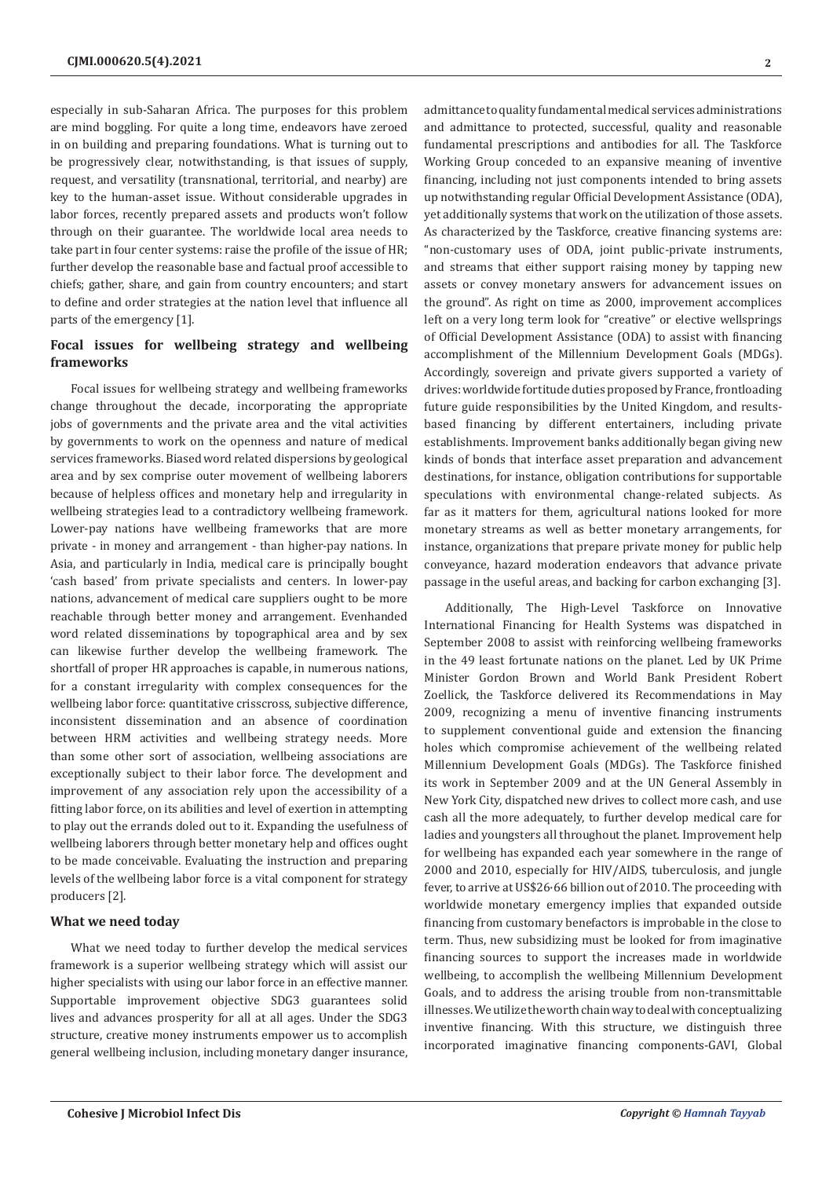especially in sub-Saharan Africa. The purposes for this problem are mind boggling. For quite a long time, endeavors have zeroed in on building and preparing foundations. What is turning out to be progressively clear, notwithstanding, is that issues of supply, request, and versatility (transnational, territorial, and nearby) are key to the human-asset issue. Without considerable upgrades in labor forces, recently prepared assets and products won't follow through on their guarantee. The worldwide local area needs to take part in four center systems: raise the profile of the issue of HR; further develop the reasonable base and factual proof accessible to chiefs; gather, share, and gain from country encounters; and start to define and order strategies at the nation level that influence all parts of the emergency [1].

# **Focal issues for wellbeing strategy and wellbeing frameworks**

Focal issues for wellbeing strategy and wellbeing frameworks change throughout the decade, incorporating the appropriate jobs of governments and the private area and the vital activities by governments to work on the openness and nature of medical services frameworks. Biased word related dispersions by geological area and by sex comprise outer movement of wellbeing laborers because of helpless offices and monetary help and irregularity in wellbeing strategies lead to a contradictory wellbeing framework. Lower-pay nations have wellbeing frameworks that are more private - in money and arrangement - than higher-pay nations. In Asia, and particularly in India, medical care is principally bought 'cash based' from private specialists and centers. In lower-pay nations, advancement of medical care suppliers ought to be more reachable through better money and arrangement. Evenhanded word related disseminations by topographical area and by sex can likewise further develop the wellbeing framework. The shortfall of proper HR approaches is capable, in numerous nations, for a constant irregularity with complex consequences for the wellbeing labor force: quantitative crisscross, subjective difference, inconsistent dissemination and an absence of coordination between HRM activities and wellbeing strategy needs. More than some other sort of association, wellbeing associations are exceptionally subject to their labor force. The development and improvement of any association rely upon the accessibility of a fitting labor force, on its abilities and level of exertion in attempting to play out the errands doled out to it. Expanding the usefulness of wellbeing laborers through better monetary help and offices ought to be made conceivable. Evaluating the instruction and preparing levels of the wellbeing labor force is a vital component for strategy producers [2].

#### **What we need today**

What we need today to further develop the medical services framework is a superior wellbeing strategy which will assist our higher specialists with using our labor force in an effective manner. Supportable improvement objective SDG3 guarantees solid lives and advances prosperity for all at all ages. Under the SDG3 structure, creative money instruments empower us to accomplish general wellbeing inclusion, including monetary danger insurance,

admittance to quality fundamental medical services administrations and admittance to protected, successful, quality and reasonable fundamental prescriptions and antibodies for all. The Taskforce Working Group conceded to an expansive meaning of inventive financing, including not just components intended to bring assets up notwithstanding regular Official Development Assistance (ODA), yet additionally systems that work on the utilization of those assets. As characterized by the Taskforce, creative financing systems are: "non-customary uses of ODA, joint public-private instruments, and streams that either support raising money by tapping new assets or convey monetary answers for advancement issues on the ground". As right on time as 2000, improvement accomplices left on a very long term look for "creative" or elective wellsprings of Official Development Assistance (ODA) to assist with financing accomplishment of the Millennium Development Goals (MDGs). Accordingly, sovereign and private givers supported a variety of drives: worldwide fortitude duties proposed by France, frontloading future guide responsibilities by the United Kingdom, and resultsbased financing by different entertainers, including private establishments. Improvement banks additionally began giving new kinds of bonds that interface asset preparation and advancement destinations, for instance, obligation contributions for supportable speculations with environmental change-related subjects. As far as it matters for them, agricultural nations looked for more monetary streams as well as better monetary arrangements, for instance, organizations that prepare private money for public help conveyance, hazard moderation endeavors that advance private passage in the useful areas, and backing for carbon exchanging [3].

Additionally, The High-Level Taskforce on Innovative International Financing for Health Systems was dispatched in September 2008 to assist with reinforcing wellbeing frameworks in the 49 least fortunate nations on the planet. Led by UK Prime Minister Gordon Brown and World Bank President Robert Zoellick, the Taskforce delivered its Recommendations in May 2009, recognizing a menu of inventive financing instruments to supplement conventional guide and extension the financing holes which compromise achievement of the wellbeing related Millennium Development Goals (MDGs). The Taskforce finished its work in September 2009 and at the UN General Assembly in New York City, dispatched new drives to collect more cash, and use cash all the more adequately, to further develop medical care for ladies and youngsters all throughout the planet. Improvement help for wellbeing has expanded each year somewhere in the range of 2000 and 2010, especially for HIV/AIDS, tuberculosis, and jungle fever, to arrive at US\$26·66 billion out of 2010. The proceeding with worldwide monetary emergency implies that expanded outside financing from customary benefactors is improbable in the close to term. Thus, new subsidizing must be looked for from imaginative financing sources to support the increases made in worldwide wellbeing, to accomplish the wellbeing Millennium Development Goals, and to address the arising trouble from non-transmittable illnesses. We utilize the worth chain way to deal with conceptualizing inventive financing. With this structure, we distinguish three incorporated imaginative financing components-GAVI, Global

**2**